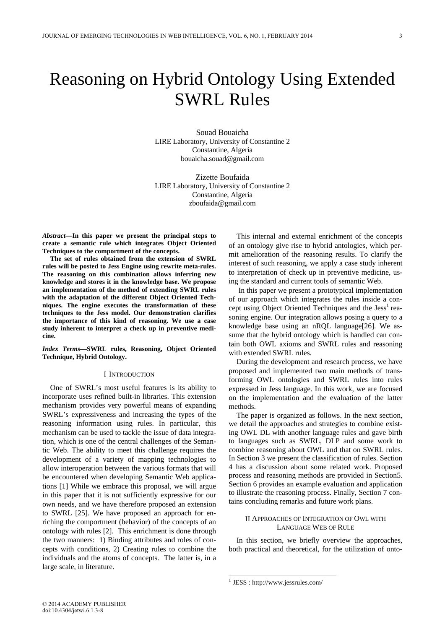# Reasoning on Hybrid Ontology Using Extended SWRL Rules

Souad Bouaicha LIRE Laboratory, University of Constantine 2 Constantine, Algeria bouaicha.souad@gmail.com

Zizette Boufaida LIRE Laboratory, University of Constantine 2 Constantine, Algeria zboufaida@gmail.com

*Abstract***—In this paper we present the principal steps to create a semantic rule which integrates Object Oriented Techniques to the comportment of the concepts.** 

**The set of rules obtained from the extension of SWRL rules will be posted to Jess Engine using rewrite meta-rules. The reasoning on this combination allows inferring new knowledge and stores it in the knowledge base. We propose an implementation of the method of extending SWRL rules with the adaptation of the different Object Oriented Techniques. The engine executes the transformation of these techniques to the Jess model. Our demonstration clarifies the importance of this kind of reasoning. We use a case study inherent to interpret a check up in preventive medicine.** 

*Index Terms***—SWRL rules, Reasoning, Object Oriented Technique, Hybrid Ontology.**

## I INTRODUCTION

One of SWRL's most useful features is its ability to incorporate uses refined built-in libraries. This extension mechanism provides very powerful means of expanding SWRL's expressiveness and increasing the types of the reasoning information using rules. In particular, this mechanism can be used to tackle the issue of data integration, which is one of the central challenges of the Semantic Web. The ability to meet this challenge requires the development of a variety of mapping technologies to allow interoperation between the various formats that will be encountered when developing Semantic Web applications [1] While we embrace this proposal, we will argue in this paper that it is not sufficiently expressive for our own needs, and we have therefore proposed an extension to SWRL [25]. We have proposed an approach for enriching the comportment (behavior) of the concepts of an ontology with rules [2]. This enrichment is done through the two manners: 1) Binding attributes and roles of concepts with conditions, 2) Creating rules to combine the individuals and the atoms of concepts. The latter is, in a large scale, in literature.

This internal and external enrichment of the concepts of an ontology give rise to hybrid antologies, which permit amelioration of the reasoning results. To clarify the interest of such reasoning, we apply a case study inherent to interpretation of check up in preventive medicine, using the standard and current tools of semantic Web.

 In this paper we present a prototypical implementation of our approach which integrates the rules inside a concept using Object Oriented Techniques and the Jess<sup>1</sup> reasoning engine. Our integration allows posing a query to a knowledge base using an nRQL language[26]. We assume that the hybrid ontology which is handled can contain both OWL axioms and SWRL rules and reasoning with extended SWRL rules.

During the development and research process, we have proposed and implemented two main methods of transforming OWL ontologies and SWRL rules into rules expressed in Jess language. In this work, we are focused on the implementation and the evaluation of the latter methods.

The paper is organized as follows. In the next section, we detail the approaches and strategies to combine existing OWL DL with another language rules and gave birth to languages such as SWRL, DLP and some work to combine reasoning about OWL and that on SWRL rules. In Section 3 we present the classification of rules. Section 4 has a discussion about some related work. Proposed process and reasoning methods are provided in Section5. Section 6 provides an example evaluation and application to illustrate the reasoning process. Finally, Section 7 contains concluding remarks and future work plans.

## II APPROACHES OF INTEGRATION OF OWL WITH LANGUAGE WEB OF RULE

In this section, we briefly overview the approaches, both practical and theoretical, for the utilization of onto-

-

<sup>1</sup> JESS : http://www.jessrules.com/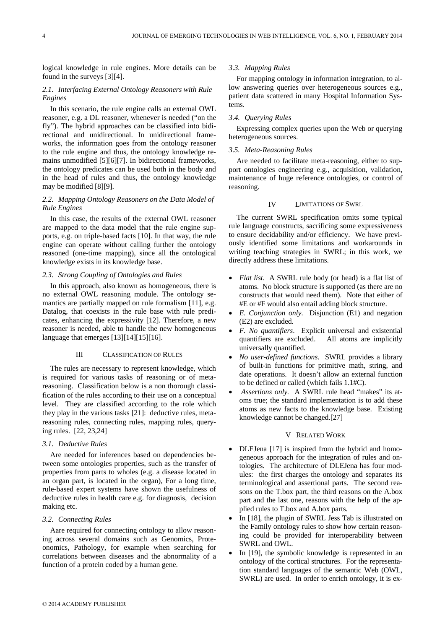logical knowledge in rule engines. More details can be found in the surveys [3][4].

## *2.1. Interfacing External Ontology Reasoners with Rule Engines*

In this scenario, the rule engine calls an external OWL reasoner, e.g. a DL reasoner, whenever is needed ("on the fly"). The hybrid approaches can be classified into bidirectional and unidirectional. In unidirectional frameworks, the information goes from the ontology reasoner to the rule engine and thus, the ontology knowledge remains unmodified [5][6][7]. In bidirectional frameworks, the ontology predicates can be used both in the body and in the head of rules and thus, the ontology knowledge may be modified [8][9].

## *2.2. Mapping Ontology Reasoners on the Data Model of Rule Engines*

In this case, the results of the external OWL reasoner are mapped to the data model that the rule engine supports, e.g. on triple-based facts [10]. In that way, the rule engine can operate without calling further the ontology reasoned (one-time mapping), since all the ontological knowledge exists in its knowledge base.

## *2.3. Strong Coupling of Ontologies and Rules*

In this approach, also known as homogeneous, there is no external OWL reasoning module. The ontology semantics are partially mapped on rule formalism [11], e.g. Datalog, that coexists in the rule base with rule predicates, enhancing the expressivity [12]. Therefore, a new reasoner is needed, able to handle the new homogeneous language that emerges [13][14][15][16].

## III CLASSIFICATION OF RULES

The rules are necessary to represent knowledge, which is required for various tasks of reasoning or of metareasoning. Classification below is a non thorough classification of the rules according to their use on a conceptual level. They are classified according to the role which they play in the various tasks [21]: deductive rules, metareasoning rules, connecting rules, mapping rules, querying rules. [22, 23,24]

## *3.1. Deductive Rules*

Are needed for inferences based on dependencies between some ontologies properties, such as the transfer of properties from parts to wholes (e.g. a disease located in an organ part, is located in the organ), For a long time, rule-based expert systems have shown the usefulness of deductive rules in health care e.g. for diagnosis, decision making etc.

## *3.2. Connecting Rules*

Aare required for connecting ontology to allow reasoning across several domains such as Genomics, Proteonomics, Pathology, for example when searching for correlations between diseases and the abnormality of a function of a protein coded by a human gene.

#### *3.3. Mapping Rules*

For mapping ontology in information integration, to allow answering queries over heterogeneous sources e.g., patient data scattered in many Hospital Information Systems.

### *3.4. Querying Rules*

Expressing complex queries upon the Web or querying heterogeneous sources.

## *3.5. Meta-Reasoning Rules*

Are needed to facilitate meta-reasoning, either to support ontologies engineering e.g., acquisition, validation, maintenance of huge reference ontologies, or control of reasoning.

# IV LIMITATIONS OF SWRL

The current SWRL specification omits some typical rule language constructs, sacrificing some expressiveness to ensure decidability and/or efficiency. We have previously identified some limitations and workarounds in writing teaching strategies in SWRL; in this work, we directly address these limitations.

- *Flat list*. A SWRL rule body (or head) is a flat list of atoms. No block structure is supported (as there are no constructs that would need them). Note that either of #E or #F would also entail adding block structure.
- *E. Conjunction only*. Disjunction (E1) and negation (E2) are excluded.
- *F. No quantifiers*. Explicit universal and existential quantifiers are excluded. All atoms are implicitly universally quantified.
- *No user-defined functions*. SWRL provides a library of built-in functions for primitive math, string, and date operations. It doesn't allow an external function to be defined or called (which fails 1.1#C).
- *Assertions only.* A SWRL rule head "makes" its atoms true; the standard implementation is to add these atoms as new facts to the knowledge base. Existing knowledge cannot be changed.[27]

#### V RELATED WORK

- DLEJena [17] is inspired from the hybrid and homogeneous approach for the integration of rules and ontologies. The architecture of DLEJena has four modules: the first charges the ontology and separates its terminological and assertional parts. The second reasons on the T.box part, the third reasons on the A.box part and the last one, reasons with the help of the applied rules to T.box and A.box parts.
- In [18], the plugin of SWRL Jess Tab is illustrated on the Family ontology rules to show how certain reasoning could be provided for interoperability between SWRL and OWL.
- In [19], the symbolic knowledge is represented in an ontology of the cortical structures. For the representation standard languages of the semantic Web (OWL, SWRL) are used. In order to enrich ontology, it is ex-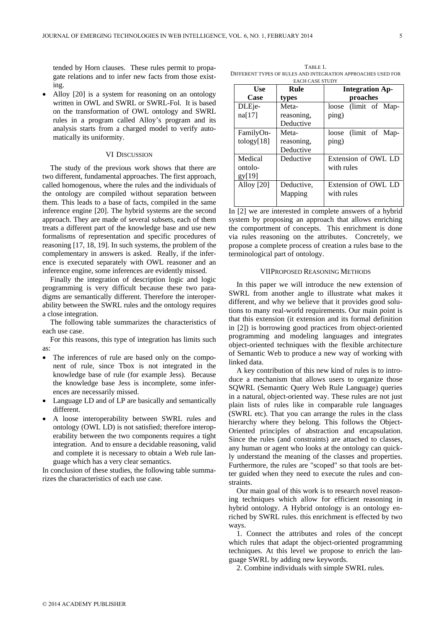tended by Horn clauses. These rules permit to propagate relations and to infer new facts from those existing.

• Alloy [20] is a system for reasoning on an ontology written in OWL and SWRL or SWRL-Fol. It is based on the transformation of OWL ontology and SWRL rules in a program called Alloy's program and its analysis starts from a charged model to verify automatically its uniformity.

### VI DISCUSSION

The study of the previous work shows that there are two different, fundamental approaches. The first approach, called homogenous, where the rules and the individuals of the ontology are compiled without separation between them. This leads to a base of facts, compiled in the same inference engine [20]. The hybrid systems are the second approach. They are made of several subsets, each of them treats a different part of the knowledge base and use new formalisms of representation and specific procedures of reasoning [17, 18, 19]. In such systems, the problem of the complementary in answers is asked. Really, if the inference is executed separately with OWL reasoner and an inference engine, some inferences are evidently missed.

Finally the integration of description logic and logic programming is very difficult because these two paradigms are semantically different. Therefore the interoperability between the SWRL rules and the ontology requires a close integration.

The following table summarizes the characteristics of each use case.

For this reasons, this type of integration has limits such as:

- The inferences of rule are based only on the component of rule, since Tbox is not integrated in the knowledge base of rule (for example Jess). Because the knowledge base Jess is incomplete, some inferences are necessarily missed.
- Language LD and of LP are basically and semantically different.
- A loose interoperability between SWRL rules and ontology (OWL LD) is not satisfied; therefore interoperability between the two components requires a tight integration. And to ensure a decidable reasoning, valid and complete it is necessary to obtain a Web rule language which has a very clear semantics.

In conclusion of these studies, the following table summarizes the characteristics of each use case.

TABLE 1. DIFFERENT TYPES OF RULES AND INTEGRATION APPROACHES USED FOR

| <b>EACH CASE STUDY</b> |            |                        |  |
|------------------------|------------|------------------------|--|
| Use                    | Rule       | <b>Integration Ap-</b> |  |
| Case                   | types      | proaches               |  |
| DLEje-                 | Meta-      | loose (limit of Map-   |  |
| na[17]                 | reasoning, | ping)                  |  |
|                        | Deductive  |                        |  |
| FamilyOn-              | Meta-      | loose (limit of Map-   |  |
| $\{18\}$               | reasoning, | ping)                  |  |
|                        | Deductive  |                        |  |
| Medical                | Deductive  | Extension of OWL LD    |  |
| ontolo-                |            | with rules             |  |
| gy[19]                 |            |                        |  |
| Alloy [20]             | Deductive, | Extension of OWL LD    |  |
|                        | Mapping    | with rules             |  |
|                        |            |                        |  |

In [2] we are interested in complete answers of a hybrid system by proposing an approach that allows enriching the comportment of concepts. This enrichment is done via rules reasoning on the attributes. Concretely, we propose a complete process of creation a rules base to the terminological part of ontology.

## VIIPROPOSED REASONING METHODS

In this paper we will introduce the new extension of SWRL from another angle to illustrate what makes it different, and why we believe that it provides good solutions to many real-world requirements. Our main point is that this extension (it extension and its formal definition in [2]) is borrowing good practices from object-oriented programming and modeling languages and integrates object-oriented techniques with the flexible architecture of Semantic Web to produce a new way of working with linked data.

A key contribution of this new kind of rules is to introduce a mechanism that allows users to organize those SQWRL (Semantic Query Web Rule Language) queries in a natural, object-oriented way. These rules are not just plain lists of rules like in comparable rule languages (SWRL etc). That you can arrange the rules in the class hierarchy where they belong. This follows the Object-Oriented principles of abstraction and encapsulation. Since the rules (and constraints) are attached to classes, any human or agent who looks at the ontology can quickly understand the meaning of the classes and properties. Furthermore, the rules are "scoped" so that tools are better guided when they need to execute the rules and constraints.

Our main goal of this work is to research novel reasoning techniques which allow for efficient reasoning in hybrid ontology. A Hybrid ontology is an ontology enriched by SWRL rules. this enrichment is effected by two ways.

1. Connect the attributes and roles of the concept which rules that adapt the object-oriented programming techniques. At this level we propose to enrich the language SWRL by adding new keywords.

2. Combine individuals with simple SWRL rules.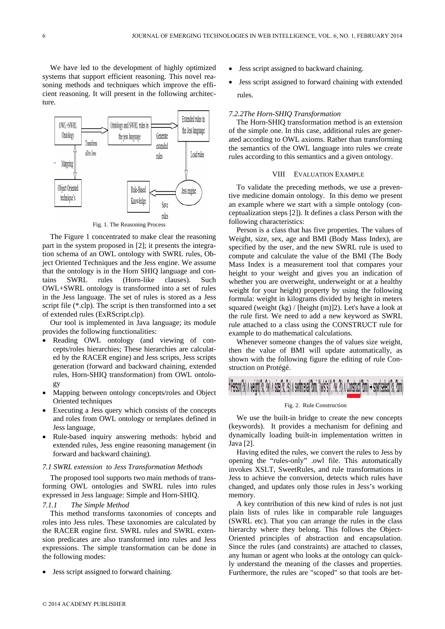We have led to the development of highly optimized systems that support efficient reasoning. This novel reasoning methods and techniques which improve the efficient reasoning. It will present in the following architecture.



The Figure 1 concentrated to make clear the reasoning part in the system proposed in [2]; it presents the integration schema of an OWL ontology with SWRL rules, Object Oriented Techniques and the Jess engine. We assume that the ontology is in the Horn SHIQ language and contains SWRL rules (Horn-like clauses). Such OWL+SWRL ontology is transformed into a set of rules in the Jess language. The set of rules is stored as a Jess script file (\*.clp). The script is then transformed into a set of extended rules (ExRScript.clp).

Our tool is implemented in Java language; its module provides the following functionalities:

- Reading OWL ontology (and viewing of concepts/roles hierarchies; These hierarchies are calculated by the RACER engine) and Jess scripts, Jess scripts generation (forward and backward chaining, extended rules, Horn-SHIQ transformation) from OWL ontology
- Mapping between ontology concepts/roles and Object Oriented techniques
- Executing a Jess query which consists of the concepts and roles from OWL ontology or templates defined in Jess language,
- Rule-based inquiry answering methods: hybrid and extended rules, Jess engine reasoning management (in forward and backward chaining).

#### *7.1 SWRL extension to Jess Transformation Methods*

The proposed tool supports two main methods of transforming OWL ontologies and SWRL rules into rules expressed in Jess language: Simple and Horn-SHIQ.

## *7.1.1 The Simple Method*

This method transforms taxonomies of concepts and roles into Jess rules. These taxonomies are calculated by the RACER engine first. SWRL rules and SWRL extension predicates are also transformed into rules and Jess expressions. The simple transformation can be done in the following modes:

• Jess script assigned to forward chaining.

- Jess script assigned to backward chaining.
- Jess script assigned to forward chaining with extended rules.

## *7.2.2The Horn-SHIQ Transformation*

The Horn-SHIQ transformation method is an extension of the simple one. In this case, additional rules are generated according to OWL axioms. Rather than transforming the semantics of the OWL language into rules we create rules according to this semantics and a given ontology.

### VIII EVALUATION EXAMPLE

To validate the preceding methods, we use a preventive medicine domain ontology. In this demo we present an example where we start with a simple ontology (conceptualization steps [2]). It defines a class Person with the following characteristics:

Person is a class that has five properties. The values of Weight, size, sex, age and BMI (Body Mass Index), are specified by the user, and the new SWRL rule is used to compute and calculate the value of the BMI (The Body Mass Index is a measurement tool that compares your height to your weight and gives you an indication of whether you are overweight, underweight or at a healthy weight for your height) property by using the following formula: weight in kilograms divided by height in meters squared (weight  $(kg)$  / [height  $(m)$ ]2). Let's have a look at the rule first. We need to add a new keyword as SWRL rule attached to a class using the CONSTRUCT rule for example to do mathematical calculations.

Whenever someone changes the of values size weight, then the value of BMI will update automatically, as shown with the following figure the editing of rule Construction on Protégé.

#### Fig. 2. Rule Construction

We use the built-in bridge to create the new concepts (keywords). It provides a mechanism for defining and dynamically loading built-in implementation written in Java [2].

Having edited the rules, we convert the rules to Jess by opening the "rules-only" .owl file. This automatically invokes XSLT, SweetRules, and rule transformations in Jess to achieve the conversion, detects which rules have changed, and updates only those rules in Jess's working memory.

A key contribution of this new kind of rules is not just plain lists of rules like in comparable rule languages (SWRL etc). That you can arrange the rules in the class hierarchy where they belong. This follows the Object-Oriented principles of abstraction and encapsulation. Since the rules (and constraints) are attached to classes, any human or agent who looks at the ontology can quickly understand the meaning of the classes and properties. Furthermore, the rules are "scoped" so that tools are bet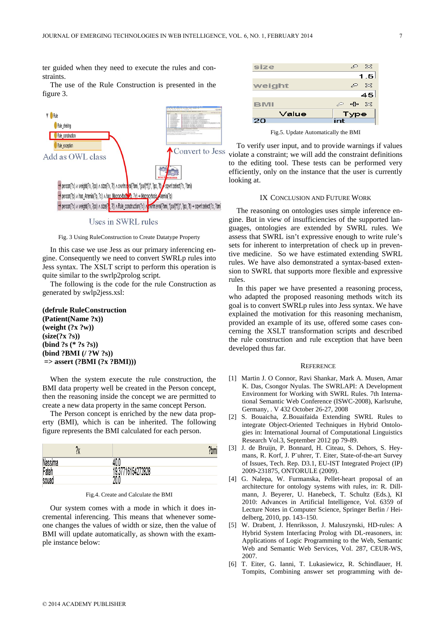ter guided when they need to execute the rules and constraints.

The use of the Rule Construction is presented in the figure 3.



Uses in SWRL rules

Fig. 3 Using RuleConstruction to Create Datatype Property

In this case we use Jess as our primary inferencing engine. Consequently we need to convert SWRLp rules into Jess syntax. The XSLT script to perform this operation is quite similar to the swrlp2prolog script.

The following is the code for the rule Construction as generated by swlp2jess.xsl:

## **(defrule RuleConstruction**

**(Patient(Name ?x)) (weight (?x ?w)) (size(?x ?s)) (bind ?s (\* ?s ?s)) (bind ?BMI (/ ?W ?s)) => assert (?BMI (?x ?BMI)))** 

When the system execute the rule construction, the BMI data property well be created in the Person concept, then the reasoning inside the concept we are permitted to create a new data property in the same concept Person.

The Person concept is enriched by the new data property (BMI), which is can be inherited. The following figure represents the BMI calculated for each person.

|                | •ሌ | 2 <sub>hm</sub><br>! Dill |
|----------------|----|---------------------------|
| <b>Nassima</b> |    |                           |
| Fateh          |    | 37716154272828            |
| souad          |    | 20f<br>۷A،                |

Our system comes with a mode in which it does incremental inferencing. This means that whenever someone changes the values of width or size, then the value of BMI will update automatically, as shown with the example instance below:



Fig.5. Update Automatically the BMI

To verify user input, and to provide warnings if values violate a constraint; we will add the constraint definitions to the editing tool. These tests can be performed very efficiently, only on the instance that the user is currently looking at.

#### IX CONCLUSION AND FUTURE WORK

The reasoning on ontologies uses simple inference engine. But in view of insufficiencies of the supported languages, ontologies are extended by SWRL rules. We assess that SWRL isn't expressive enough to write rule's sets for inherent to interpretation of check up in preventive medicine. So we have estimated extending SWRL rules. We have also demonstrated a syntax-based extension to SWRL that supports more flexible and expressive rules.

In this paper we have presented a reasoning process, who adapted the proposed reasoning methods witch its goal is to convert SWRLp rules into Jess syntax. We have explained the motivation for this reasoning mechanism, provided an example of its use, offered some cases concerning the XSLT transformation scripts and described the rule construction and rule exception that have been developed thus far.

#### **REFERENCE**

- [1] Martin J. O Connor, Ravi Shankar, Mark A. Musen, Amar K. Das, Csongor Nyulas. The SWRLAPI: A Development Environment for Working with SWRL Rules. 7th International Semantic Web Conference (ISWC-2008), Karlsruhe, Germany, . V 432 October 26-27, 2008
- [2] S. Bouaicha, Z.Bouaifaida Extending SWRL Rules to integrate Object-Oriented Techniques in Hybrid Ontologies in: International Journal of Computational Linguistics Research Vol.3, September 2012 pp 79-89.
- [3] J. de Bruijn, P. Bonnard, H. Citeau, S. Dehors, S. Heymans, R. Korf, J. P¨uhrer, T. Eiter, State-of-the-art Survey of Issues, Tech. Rep. D3.1, EU-IST Integrated Project (IP) 2009-231875, ONTORULE (2009).
- [4] G. Nalepa, W. Furmanska, Pellet-heart proposal of an architecture for ontology systems with rules, in: R. Dillmann, J. Beyerer, U. Hanebeck, T. Schultz (Eds.), KI 2010: Advances in Artificial Intelligence, Vol. 6359 of Lecture Notes in Computer Science, Springer Berlin / Heidelberg, 2010, pp. 143–150.
- [5] W. Drabent, J. Henriksson, J. Maluszynski, HD-rules: A Hybrid System Interfacing Prolog with DL-reasoners, in: Applications of Logic Programming to the Web, Semantic Web and Semantic Web Services, Vol. 287, CEUR-WS, 2007.
- [6] T. Eiter, G. Ianni, T. Lukasiewicz, R. Schindlauer, H. Tompits, Combining answer set programming with de-